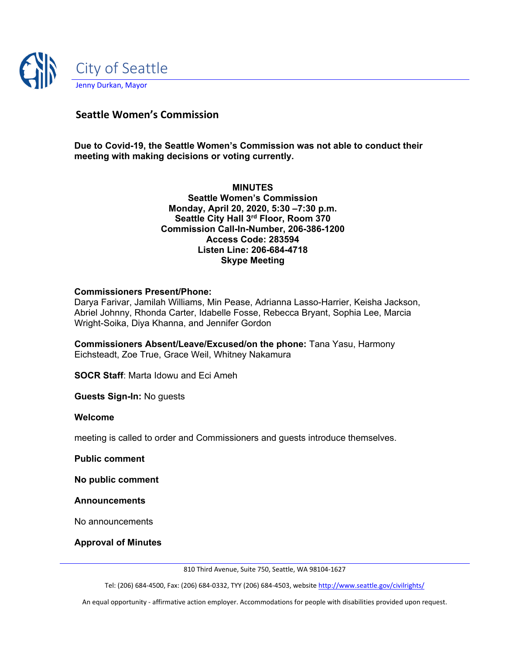

# **Seattle Women's Commission**

**Due to Covid-19, the Seattle Women's Commission was not able to conduct their meeting with making decisions or voting currently.**

> **MINUTES Seattle Women's Commission Monday, April 20, 2020, 5:30 –7:30 p.m. Seattle City Hall 3rd Floor, Room 370 Commission Call-In-Number, 206-386-1200 Access Code: 283594 Listen Line: 206-684-4718 Skype Meeting**

### **Commissioners Present/Phone:**

Darya Farivar, Jamilah Williams, Min Pease, Adrianna Lasso-Harrier, Keisha Jackson, Abriel Johnny, Rhonda Carter, Idabelle Fosse, Rebecca Bryant, Sophia Lee, Marcia Wright-Soika, Diya Khanna, and Jennifer Gordon

**Commissioners Absent/Leave/Excused/on the phone:** Tana Yasu, Harmony Eichsteadt, Zoe True, Grace Weil, Whitney Nakamura

**SOCR Staff**: Marta Idowu and Eci Ameh

**Guests Sign-In:** No guests

#### **Welcome**

meeting is called to order and Commissioners and guests introduce themselves.

**Public comment**

**No public comment**

**Announcements**

No announcements

**Approval of Minutes**

810 Third Avenue, Suite 750, Seattle, WA 98104-1627

Tel: (206) 684-4500, Fax: (206) 684-0332, TYY (206) 684-4503, websit[e http://www.seattle.gov/civilrights/](http://www.seattle.gov/civilrights/)

An equal opportunity - affirmative action employer. Accommodations for people with disabilities provided upon request.